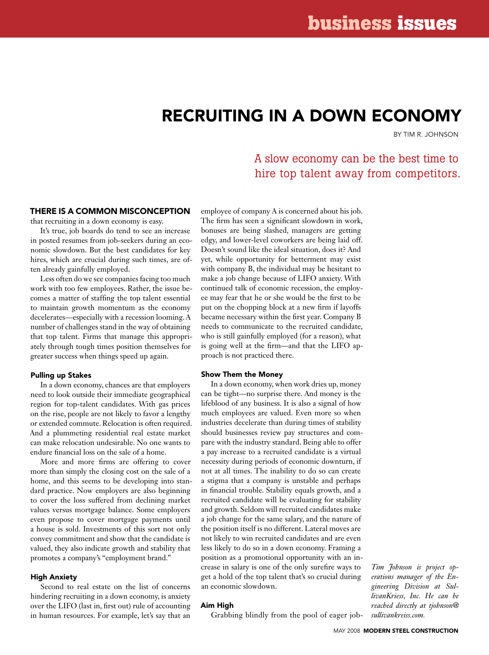# Recruiting in a down economy

By Tim R. Johnson

# A slow economy can be the best time to hire top talent away from competitors.

# There is a common misconception

that recruiting in a down economy is easy.

It's true, job boards do tend to see an increase in posted resumes from job-seekers during an economic slowdown. But the best candidates for key hires, which are crucial during such times, are often already gainfully employed.

Less often do we see companies facing too much work with too few employees. Rather, the issue becomes a matter of staffing the top talent essential to maintain growth momentum as the economy decelerates—especially with a recession looming. A number of challenges stand in the way of obtaining that top talent. Firms that manage this appropriately through tough times position themselves for greater success when things speed up again.

## Pulling up Stakes

In a down economy, chances are that employers need to look outside their immediate geographical region for top-talent candidates. With gas prices on the rise, people are not likely to favor a lengthy or extended commute. Relocation is often required. And a plummeting residential real estate market can make relocation undesirable. No one wants to endure financial loss on the sale of a home.

More and more firms are offering to cover more than simply the closing cost on the sale of a home, and this seems to be developing into standard practice. Now employers are also beginning to cover the loss suffered from declining market values versus mortgage balance. Some employers even propose to cover mortgage payments until a house is sold. Investments of this sort not only convey commitment and show that the candidate is valued, they also indicate growth and stability that promotes a company's "employment brand."

#### High Anxiety

Second to real estate on the list of concerns hindering recruiting in a down economy, is anxiety over the LIFO (last in, first out) rule of accounting in human resources. For example, let's say that an employee of company A is concerned about his job. The firm has seen a significant slowdown in work, bonuses are being slashed, managers are getting edgy, and lower-level coworkers are being laid off. Doesn't sound like the ideal situation, does it? And yet, while opportunity for betterment may exist with company B, the individual may be hesitant to make a job change because of LIFO anxiety. With continued talk of economic recession, the employee may fear that he or she would be the first to be put on the chopping block at a new firm if layoffs became necessary within the first year. Company B needs to communicate to the recruited candidate, who is still gainfully employed (for a reason), what is going well at the firm—and that the LIFO approach is not practiced there.

### Show Them the Money

In a down economy, when work dries up, money can be tight—no surprise there. And money is the lifeblood of any business. It is also a signal of how much employees are valued. Even more so when industries decelerate than during times of stability should businesses review pay structures and compare with the industry standard. Being able to offer a pay increase to a recruited candidate is a virtual necessity during periods of economic downturn, if not at all times. The inability to do so can create a stigma that a company is unstable and perhaps in financial trouble. Stability equals growth, and a recruited candidate will be evaluating for stability and growth. Seldom will recruited candidates make a job change for the same salary, and the nature of the position itself is no different. Lateral moves are not likely to win recruited candidates and are even less likely to do so in a down economy. Framing a position as a promotional opportunity with an increase in salary is one of the only surefire ways to get a hold of the top talent that's so crucial during an economic slowdown.

### Aim High

Grabbing blindly from the pool of eager job-

*Tim Johnson is project operations manager of the Engineering Division at SullivanKriess, Inc. He can be reached directly at tjohnson@ sullivankreiss.com.*